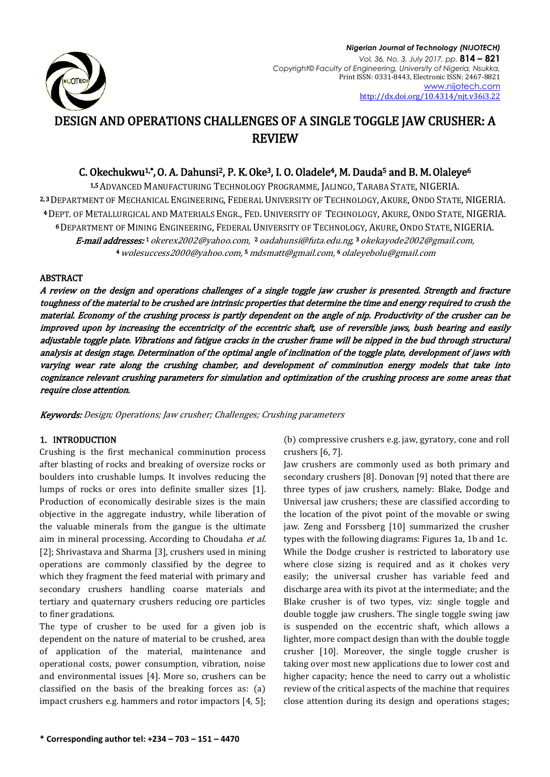

# DESIGN AND OPERATIONS CHALLENGES OF A SINGLE TOGGLE JAW CRUSHER: A REVIEW

## C. Okechukwu<sup>1,\*</sup>, O. A. Dahunsi<sup>2</sup>, P. K. Oke<sup>3</sup>, I. O. Oladele<sup>4</sup>, M. Dauda<sup>5</sup> and B. M. Olaleye<sup>6</sup>

1,5ADVANCED MANUFACTURING TECHNOLOGY PROGRAMME, JALINGO, TARABA STATE, NIGERIA. 2, <sup>3</sup>DEPARTMENT OF MECHANICAL ENGINEERING, FEDERAL UNIVERSITY OF TECHNOLOGY, AKURE, ONDO STATE, NIGERIA. <sup>4</sup> DEPT. OF METALLURGICAL AND MATERIALS ENGR., FED. UNIVERSITY OF TECHNOLOGY, AKURE, ONDO STATE, NIGERIA. <sup>6</sup> DEPARTMENT OF MINING ENGINEERING, FEDERAL UNIVERSITY OF TECHNOLOGY, AKURE, ONDO STATE, NIGERIA. **E-mail addresses: 1** okerex2002@yahoo.com, 2 oadahunsi@futa.edu.ng, 3 okekayode2002@gmail.com, <sup>4</sup>wolesuccess2000@yahoo.com, <sup>5</sup>mdsmatt@gmail.com, <sup>6</sup>olaleyebolu@gmail.com

#### ABSTRACT

A review on the design and operations challenges of a single toggle jaw crusher is presented. Strength and fracture toughness of the material to be crushed are intrinsic properties that determine the time and energy required to crush the material. Economy of the crushing process is partly dependent on the angle of nip. Productivity of the crusher can be improved upon by increasing the eccentricity of the eccentric shaft, use of reversible jaws, bush bearing and easily adjustable toggle plate. Vibrations and fatigue cracks in the crusher frame will be nipped in the bud through structural analysis at design stage. Determination of the optimal angle of inclination of the toggle plate, development of jaws with varying wear rate along the crushing chamber, and development of comminution energy models that take into cognizance relevant crushing parameters for simulation and optimization of the crushing process are some areas that require close attention.

Keywords: Design; Operations; Jaw crusher; Challenges; Crushing parameters

## 1. INTRODUCTION

Crushing is the first mechanical comminution process after blasting of rocks and breaking of oversize rocks or boulders into crushable lumps. It involves reducing the lumps of rocks or ores into definite smaller sizes [1]. Production of economically desirable sizes is the main objective in the aggregate industry, while liberation of the valuable minerals from the gangue is the ultimate aim in mineral processing. According to Choudaha et al. [2]; Shrivastava and Sharma [3], crushers used in mining operations are commonly classified by the degree to which they fragment the feed material with primary and secondary crushers handling coarse materials and tertiary and quaternary crushers reducing ore particles to finer gradations.

The type of crusher to be used for a given job is dependent on the nature of material to be crushed, area of application of the material, maintenance and operational costs, power consumption, vibration, noise and environmental issues [4]. More so, crushers can be classified on the basis of the breaking forces as: (a) impact crushers e.g. hammers and rotor impactors [4, 5]; (b) compressive crushers e.g. jaw, gyratory, cone and roll crushers [6, 7].

Jaw crushers are commonly used as both primary and secondary crushers [8]. Donovan [9] noted that there are three types of jaw crushers, namely: Blake, Dodge and Universal jaw crushers; these are classified according to the location of the pivot point of the movable or swing jaw. Zeng and Forssberg [10] summarized the crusher types with the following diagrams: Figures 1a, 1b and 1c. While the Dodge crusher is restricted to laboratory use where close sizing is required and as it chokes very easily; the universal crusher has variable feed and discharge area with its pivot at the intermediate; and the Blake crusher is of two types, viz: single toggle and double toggle jaw crushers. The single toggle swing jaw is suspended on the eccentric shaft, which allows a lighter, more compact design than with the double toggle crusher [10]. Moreover, the single toggle crusher is taking over most new applications due to lower cost and higher capacity; hence the need to carry out a wholistic review of the critical aspects of the machine that requires close attention during its design and operations stages;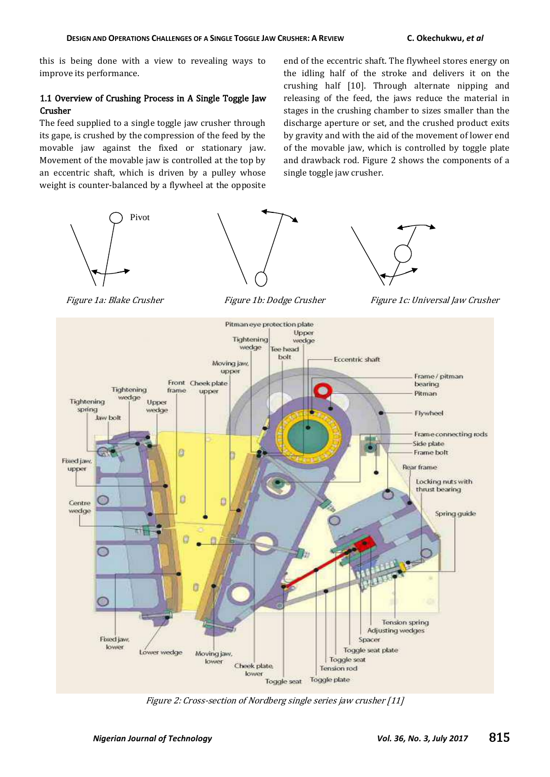this is being done with a view to revealing ways to improve its performance.

## 1.1 Overview of Crushing Process in A Single Toggle Jaw Crusher

The feed supplied to a single toggle jaw crusher through its gape, is crushed by the compression of the feed by the movable jaw against the fixed or stationary jaw. Movement of the movable jaw is controlled at the top by an eccentric shaft, which is driven by a pulley whose weight is counter-balanced by a flywheel at the opposite

end of the eccentric shaft. The flywheel stores energy on the idling half of the stroke and delivers it on the crushing half [10]. Through alternate nipping and releasing of the feed, the jaws reduce the material in stages in the crushing chamber to sizes smaller than the discharge aperture or set, and the crushed product exits by gravity and with the aid of the movement of lower end of the movable jaw, which is controlled by toggle plate and drawback rod. Figure 2 shows the components of a single toggle jaw crusher.



Figure 2: Cross-section of Nordberg single series jaw crusher [11]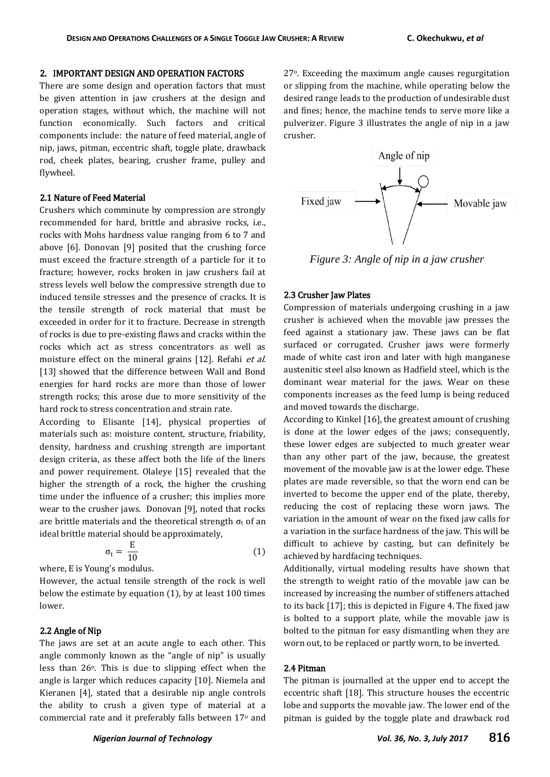## 2. IMPORTANT DESIGN AND OPERATION FACTORS

There are some design and operation factors that must be given attention in jaw crushers at the design and operation stages, without which, the machine will not function economically. Such factors and critical components include: the nature of feed material, angle of nip, jaws, pitman, eccentric shaft, toggle plate, drawback rod, cheek plates, bearing, crusher frame, pulley and flywheel.

## 2.1 Nature of Feed Material

Crushers which comminute by compression are strongly recommended for hard, brittle and abrasive rocks, i.e., rocks with Mohs hardness value ranging from 6 to 7 and above [6]. Donovan [9] posited that the crushing force must exceed the fracture strength of a particle for it to fracture; however, rocks broken in jaw crushers fail at stress levels well below the compressive strength due to induced tensile stresses and the presence of cracks. It is the tensile strength of rock material that must be exceeded in order for it to fracture. Decrease in strength of rocks is due to pre-existing flaws and cracks within the rocks which act as stress concentrators as well as moisture effect on the mineral grains [12]. Refahi *et al.* [13] showed that the difference between Wall and Bond energies for hard rocks are more than those of lower strength rocks; this arose due to more sensitivity of the hard rock to stress concentration and strain rate.

According to Elisante [14], physical properties of materials such as: moisture content, structure, friability, density, hardness and crushing strength are important design criteria, as these affect both the life of the liners and power requirement. Olaleye [15] revealed that the higher the strength of a rock, the higher the crushing time under the influence of a crusher; this implies more wear to the crusher jaws. Donovan [9], noted that rocks are brittle materials and the theoretical strength  $\sigma_t$  of an ideal brittle material should be approximately,

$$
\sigma_{t} = \frac{E}{10} \tag{1}
$$

where, E is Young's modulus.

However, the actual tensile strength of the rock is well below the estimate by equation (1), by at least 100 times lower.

## 2.2 Angle of Nip

The jaws are set at an acute angle to each other. This angle commonly known as the "angle of nip" is usually less than 26°. This is due to slipping effect when the angle is larger which reduces capacity [10]. Niemela and Kieranen [4], stated that a desirable nip angle controls the ability to crush a given type of material at a commercial rate and it preferably falls between 17° and

27o. Exceeding the maximum angle causes regurgitation or slipping from the machine, while operating below the desired range leads to the production of undesirable dust and fines; hence, the machine tends to serve more like a pulverizer. Figure 3 illustrates the angle of nip in a jaw crusher.



*Figure 3: Angle of nip in a jaw crusher*

#### 2.3 Crusher Jaw Plates

Compression of materials undergoing crushing in a jaw crusher is achieved when the movable jaw presses the feed against a stationary jaw. These jaws can be flat surfaced or corrugated. Crusher jaws were formerly made of white cast iron and later with high manganese austenitic steel also known as Hadfield steel, which is the dominant wear material for the jaws. Wear on these components increases as the feed lump is being reduced and moved towards the discharge.

According to Kinkel [16], the greatest amount of crushing is done at the lower edges of the jaws; consequently, these lower edges are subjected to much greater wear than any other part of the jaw, because, the greatest movement of the movable jaw is at the lower edge. These plates are made reversible, so that the worn end can be inverted to become the upper end of the plate, thereby, reducing the cost of replacing these worn jaws. The variation in the amount of wear on the fixed jaw calls for a variation in the surface hardness of the jaw. This will be difficult to achieve by casting, but can definitely be achieved by hardfacing techniques.

Additionally, virtual modeling results have shown that the strength to weight ratio of the movable jaw can be increased by increasing the number of stiffeners attached to its back [17]; this is depicted in Figure 4. The fixed jaw is bolted to a support plate, while the movable jaw is bolted to the pitman for easy dismantling when they are worn out, to be replaced or partly worn, to be inverted.

#### 2.4 Pitman

The pitman is journalled at the upper end to accept the eccentric shaft [18]. This structure houses the eccentric lobe and supports the movable jaw. The lower end of the pitman is guided by the toggle plate and drawback rod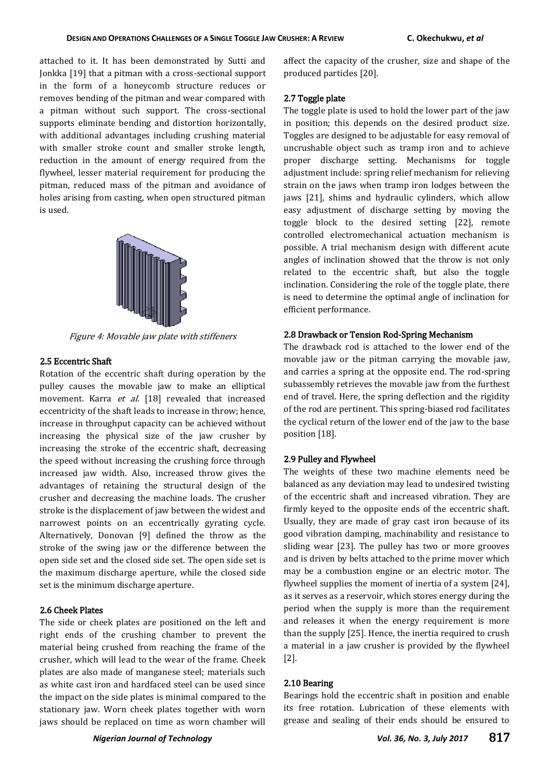attached to it. It has been demonstrated by Sutti and Jonkka [19] that a pitman with a cross-sectional support in the form of a honeycomb structure reduces or removes bending of the pitman and wear compared with a pitman without such support. The cross-sectional supports eliminate bending and distortion horizontally, with additional advantages including crushing material with smaller stroke count and smaller stroke length, reduction in the amount of energy required from the flywheel, lesser material requirement for producing the pitman, reduced mass of the pitman and avoidance of holes arising from casting, when open structured pitman is used.



Figure 4: Movable jaw plate with stiffeners

## 2.5 Eccentric Shaft

Rotation of the eccentric shaft during operation by the pulley causes the movable jaw to make an elliptical movement. Karra et al. [18] revealed that increased eccentricity of the shaft leads to increase in throw; hence, increase in throughput capacity can be achieved without increasing the physical size of the jaw crusher by increasing the stroke of the eccentric shaft, decreasing the speed without increasing the crushing force through increased jaw width. Also, increased throw gives the advantages of retaining the structural design of the crusher and decreasing the machine loads. The crusher stroke is the displacement of jaw between the widest and narrowest points on an eccentrically gyrating cycle. Alternatively, Donovan [9] defined the throw as the stroke of the swing jaw or the difference between the open side set and the closed side set. The open side set is the maximum discharge aperture, while the closed side set is the minimum discharge aperture.

#### 2.6 Cheek Plates

The side or cheek plates are positioned on the left and right ends of the crushing chamber to prevent the material being crushed from reaching the frame of the crusher, which will lead to the wear of the frame. Cheek plates are also made of manganese steel; materials such as white cast iron and hardfaced steel can be used since the impact on the side plates is minimal compared to the stationary jaw. Worn cheek plates together with worn jaws should be replaced on time as worn chamber will

affect the capacity of the crusher, size and shape of the produced particles [20].

#### 2.7 Toggle plate

The toggle plate is used to hold the lower part of the jaw in position; this depends on the desired product size. Toggles are designed to be adjustable for easy removal of uncrushable object such as tramp iron and to achieve proper discharge setting. Mechanisms for toggle adjustment include: spring relief mechanism for relieving strain on the jaws when tramp iron lodges between the jaws [21], shims and hydraulic cylinders, which allow easy adjustment of discharge setting by moving the toggle block to the desired setting [22], remote controlled electromechanical actuation mechanism is possible. A trial mechanism design with different acute angles of inclination showed that the throw is not only related to the eccentric shaft, but also the toggle inclination. Considering the role of the toggle plate, there is need to determine the optimal angle of inclination for efficient performance.

#### 2.8 Drawback or Tension Rod-Spring Mechanism

The drawback rod is attached to the lower end of the movable jaw or the pitman carrying the movable jaw, and carries a spring at the opposite end. The rod-spring subassembly retrieves the movable jaw from the furthest end of travel. Here, the spring deflection and the rigidity of the rod are pertinent. This spring-biased rod facilitates the cyclical return of the lower end of the jaw to the base position [18].

## 2.9 Pulley and Flywheel

The weights of these two machine elements need be balanced as any deviation may lead to undesired twisting of the eccentric shaft and increased vibration. They are firmly keyed to the opposite ends of the eccentric shaft. Usually, they are made of gray cast iron because of its good vibration damping, machinability and resistance to sliding wear [23]. The pulley has two or more grooves and is driven by belts attached to the prime mover which may be a combustion engine or an electric motor. The flywheel supplies the moment of inertia of a system [24], as it serves as a reservoir, which stores energy during the period when the supply is more than the requirement and releases it when the energy requirement is more than the supply [25]. Hence, the inertia required to crush a material in a jaw crusher is provided by the flywheel [2].

#### 2.10 Bearing

Bearings hold the eccentric shaft in position and enable its free rotation. Lubrication of these elements with grease and sealing of their ends should be ensured to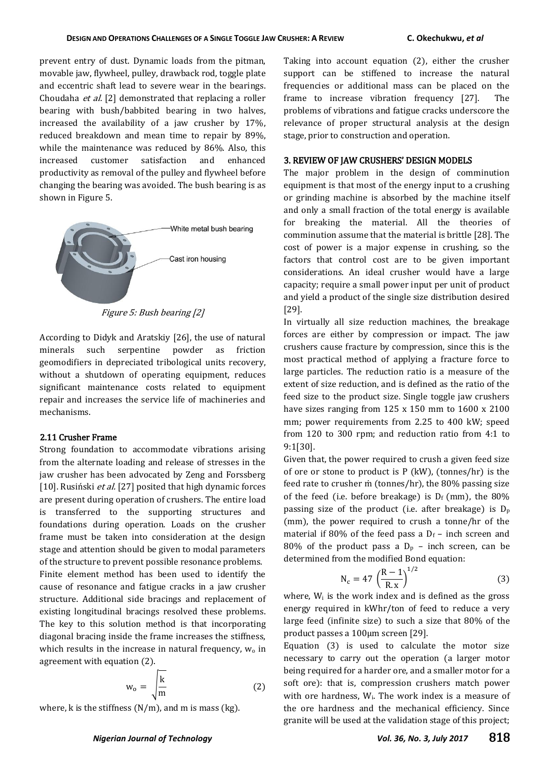prevent entry of dust. Dynamic loads from the pitman, movable jaw, flywheel, pulley, drawback rod, toggle plate and eccentric shaft lead to severe wear in the bearings. Choudaha et al. [2] demonstrated that replacing a roller bearing with bush/babbited bearing in two halves, increased the availability of a jaw crusher by 17%, reduced breakdown and mean time to repair by 89%, while the maintenance was reduced by 86%. Also, this increased customer satisfaction and enhanced productivity as removal of the pulley and flywheel before changing the bearing was avoided. The bush bearing is as shown in Figure 5.



Figure 5: Bush bearing [2]

According to Didyk and Aratskiy [26], the use of natural minerals such serpentine powder as friction geomodifiers in depreciated tribological units recovery, without a shutdown of operating equipment, reduces significant maintenance costs related to equipment repair and increases the service life of machineries and mechanisms.

#### 2.11 Crusher Frame

Strong foundation to accommodate vibrations arising from the alternate loading and release of stresses in the jaw crusher has been advocated by Zeng and Forssberg [10]. Rusiński *et al.* [27] posited that high dynamic forces are present during operation of crushers. The entire load is transferred to the supporting structures and foundations during operation. Loads on the crusher frame must be taken into consideration at the design stage and attention should be given to modal parameters of the structure to prevent possible resonance problems. Finite element method has been used to identify the cause of resonance and fatigue cracks in a jaw crusher structure. Additional side bracings and replacement of existing longitudinal bracings resolved these problems. The key to this solution method is that incorporating diagonal bracing inside the frame increases the stiffness, which results in the increase in natural frequency,  $w_0$  in agreement with equation (2).

$$
w_o = \sqrt{\frac{k}{m}}
$$
 (2)

where, k is the stiffness  $(N/m)$ , and m is mass (kg).

Taking into account equation (2), either the crusher support can be stiffened to increase the natural frequencies or additional mass can be placed on the frame to increase vibration frequency [27]. The problems of vibrations and fatigue cracks underscore the relevance of proper structural analysis at the design stage, prior to construction and operation.

#### 3. REVIEW OF IAW CRUSHERS' DESIGN MODELS

The major problem in the design of comminution equipment is that most of the energy input to a crushing or grinding machine is absorbed by the machine itself and only a small fraction of the total energy is available for breaking the material. All the theories of comminution assume that the material is brittle [28]. The cost of power is a major expense in crushing, so the factors that control cost are to be given important considerations. An ideal crusher would have a large capacity; require a small power input per unit of product and yield a product of the single size distribution desired [29].

In virtually all size reduction machines, the breakage forces are either by compression or impact. The jaw crushers cause fracture by compression, since this is the most practical method of applying a fracture force to large particles. The reduction ratio is a measure of the extent of size reduction, and is defined as the ratio of the feed size to the product size. Single toggle jaw crushers have sizes ranging from 125 x 150 mm to 1600 x 2100 mm; power requirements from 2.25 to 400 kW; speed from 120 to 300 rpm; and reduction ratio from 4:1 to 9:1[30].

Given that, the power required to crush a given feed size of ore or stone to product is P (kW), (tonnes/hr) is the feed rate to crusher ṁ (tonnes/hr), the 80% passing size of the feed (i.e. before breakage) is  $D_f$  (mm), the 80% passing size of the product (i.e. after breakage) is  $D_p$ (mm), the power required to crush a tonne/hr of the material if 80% of the feed pass a  $D_f$  – inch screen and 80% of the product pass a  $D_p$  – inch screen, can be determined from the modified Bond equation:

$$
N_c = 47 \left(\frac{R-1}{R \cdot x}\right)^{1/2} \tag{3}
$$

where,  $W_i$  is the work index and is defined as the gross energy required in kWhr/ton of feed to reduce a very large feed (infinite size) to such a size that 80% of the product passes a 100μm screen [29].

Equation (3) is used to calculate the motor size necessary to carry out the operation (a larger motor being required for a harder ore, and a smaller motor for a soft ore): that is, compression crushers match power with ore hardness,  $W_i$ . The work index is a measure of the ore hardness and the mechanical efficiency. Since granite will be used at the validation stage of this project;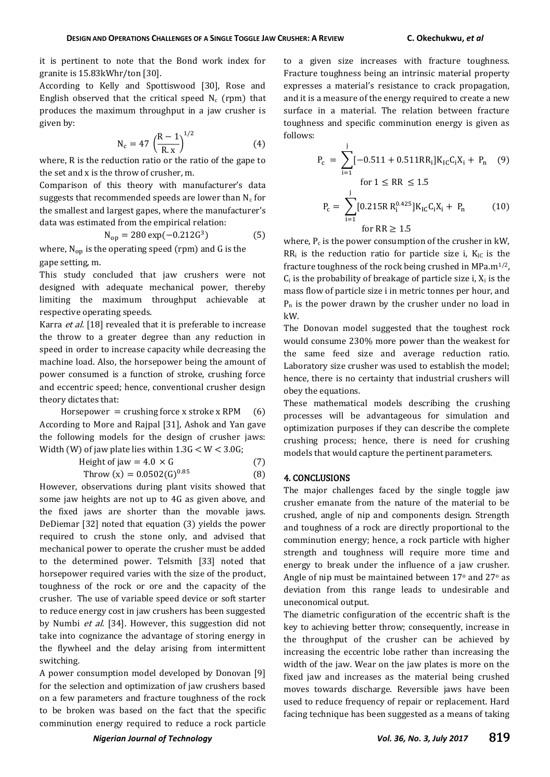it is pertinent to note that the Bond work index for granite is 15.83kWhr/ton [30].

According to Kelly and Spottiswood [30], Rose and English observed that the critical speed  $N_c$  (rpm) that produces the maximum throughput in a jaw crusher is given by:

$$
N_c = 47 \left(\frac{R-1}{R.x}\right)^{1/2} \tag{4}
$$

where, R is the reduction ratio or the ratio of the gape to the set and x is the throw of crusher, m.

Comparison of this theory with manufacturer's data suggests that recommended speeds are lower than  $N_c$  for the smallest and largest gapes, where the manufacturer's data was estimated from the empirical relation:

$$
N_{op} = 280 \exp(-0.212G^3)
$$
 (5)

where,  $\mathrm{N_{op}}$  is the operating speed (rpm) and G is the gape setting, m.

This study concluded that jaw crushers were not designed with adequate mechanical power, thereby limiting the maximum throughput achievable at respective operating speeds.

Karra *et al.* [18] revealed that it is preferable to increase the throw to a greater degree than any reduction in speed in order to increase capacity while decreasing the machine load. Also, the horsepower being the amount of power consumed is a function of stroke, crushing force and eccentric speed; hence, conventional crusher design theory dictates that:

Horsepower = crushing force x stroke x RPM  $(6)$ According to More and Rajpal [31], Ashok and Yan gave the following models for the design of crusher jaws: Width (W) of jaw plate lies within  $1.3G < W < 3.0G$ ;

Height of jaw = 4.0 × G (7)  
Throw (x) = 
$$
0.0502(G)^{0.85}
$$
 (8)

However, observations during plant visits showed that some jaw heights are not up to 4G as given above, and the fixed jaws are shorter than the movable jaws. DeDiemar [32] noted that equation (3) yields the power required to crush the stone only, and advised that mechanical power to operate the crusher must be added to the determined power. Telsmith [33] noted that horsepower required varies with the size of the product, toughness of the rock or ore and the capacity of the crusher. The use of variable speed device or soft starter to reduce energy cost in jaw crushers has been suggested by Numbi et al. [34]. However, this suggestion did not take into cognizance the advantage of storing energy in the flywheel and the delay arising from intermittent switching.

A power consumption model developed by Donovan [9] for the selection and optimization of jaw crushers based on a few parameters and fracture toughness of the rock to be broken was based on the fact that the specific comminution energy required to reduce a rock particle

to a given size increases with fracture toughness. Fracture toughness being an intrinsic material property expresses a material's resistance to crack propagation, and it is a measure of the energy required to create a new surface in a material. The relation between fracture toughness and specific comminution energy is given as follows:

$$
P_c = \sum_{i=1}^{j} [-0.511 + 0.511RR_i]K_{IC}C_iX_i + P_n \quad (9)
$$
  
for  $1 \le RR \le 1.5$   

$$
P_c = \sum_{i=1}^{j} [0.215RR_i^{0.425}]K_{IC}C_iX_i + P_n \quad (10)
$$
  
for  $RR \ge 1.5$ 

where,  $P_c$  is the power consumption of the crusher in kW,  $RR_i$  is the reduction ratio for particle size i,  $K_{IC}$  is the fracture toughness of the rock being crushed in MPa. $m^{1/2}$ ,  $C_i$  is the probability of breakage of particle size i,  $X_i$  is the mass flow of particle size i in metric tonnes per hour, and  $P_n$  is the power drawn by the crusher under no load in kW.

The Donovan model suggested that the toughest rock would consume 230% more power than the weakest for the same feed size and average reduction ratio. Laboratory size crusher was used to establish the model; hence, there is no certainty that industrial crushers will obey the equations.

These mathematical models describing the crushing processes will be advantageous for simulation and optimization purposes if they can describe the complete crushing process; hence, there is need for crushing models that would capture the pertinent parameters.

#### 4. CONCLUSIONS

The major challenges faced by the single toggle jaw crusher emanate from the nature of the material to be crushed, angle of nip and components design. Strength and toughness of a rock are directly proportional to the comminution energy; hence, a rock particle with higher strength and toughness will require more time and energy to break under the influence of a jaw crusher. Angle of nip must be maintained between  $17^{\circ}$  and  $27^{\circ}$  as deviation from this range leads to undesirable and uneconomical output.

The diametric configuration of the eccentric shaft is the key to achieving better throw; consequently, increase in the throughput of the crusher can be achieved by increasing the eccentric lobe rather than increasing the width of the jaw. Wear on the jaw plates is more on the fixed jaw and increases as the material being crushed moves towards discharge. Reversible jaws have been used to reduce frequency of repair or replacement. Hard facing technique has been suggested as a means of taking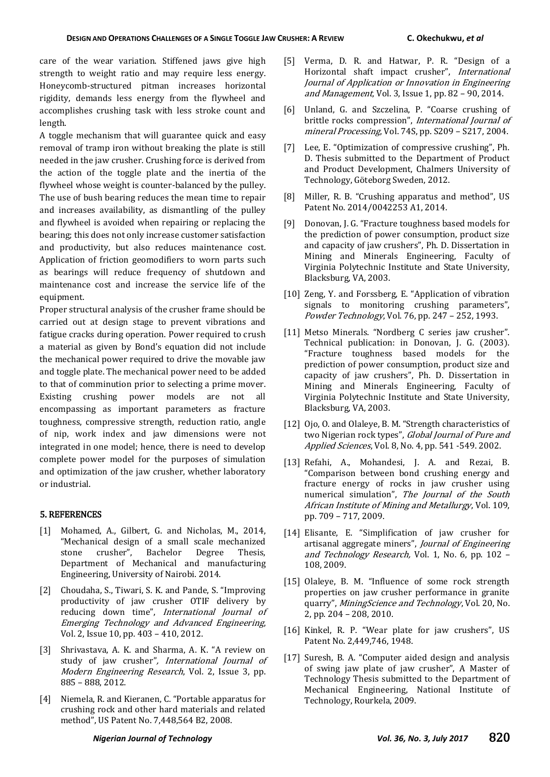care of the wear variation. Stiffened jaws give high strength to weight ratio and may require less energy. Honeycomb-structured pitman increases horizontal rigidity, demands less energy from the flywheel and accomplishes crushing task with less stroke count and length.

A toggle mechanism that will guarantee quick and easy removal of tramp iron without breaking the plate is still needed in the jaw crusher. Crushing force is derived from the action of the toggle plate and the inertia of the flywheel whose weight is counter-balanced by the pulley. The use of bush bearing reduces the mean time to repair and increases availability, as dismantling of the pulley and flywheel is avoided when repairing or replacing the bearing; this does not only increase customer satisfaction and productivity, but also reduces maintenance cost. Application of friction geomodifiers to worn parts such as bearings will reduce frequency of shutdown and maintenance cost and increase the service life of the equipment.

Proper structural analysis of the crusher frame should be carried out at design stage to prevent vibrations and fatigue cracks during operation. Power required to crush a material as given by Bond's equation did not include the mechanical power required to drive the movable jaw and toggle plate. The mechanical power need to be added to that of comminution prior to selecting a prime mover. Existing crushing power models are not all encompassing as important parameters as fracture toughness, compressive strength, reduction ratio, angle of nip, work index and jaw dimensions were not integrated in one model; hence, there is need to develop complete power model for the purposes of simulation and optimization of the jaw crusher, whether laboratory or industrial.

#### 5. REFERENCES

- [1] Mohamed, A., Gilbert, G. and Nicholas, M., 2014, "Mechanical design of a small scale mechanized stone crusher", Bachelor Degree Thesis, Department of Mechanical and manufacturing Engineering, University of Nairobi. 2014.
- [2] Choudaha, S., Tiwari, S. K. and Pande, S. "Improving productivity of jaw crusher OTIF delivery by reducing down time", International Journal of Emerging Technology and Advanced Engineering, Vol. 2, Issue 10, pp. 403 – 410, 2012.
- [3] Shrivastava, A. K. and Sharma, A. K. "A review on study of jaw crusher", International Journal of Modern Engineering Research, Vol. 2, Issue 3, pp. 885 – 888, 2012.
- [4] Niemela, R. and Kieranen, C. "Portable apparatus for crushing rock and other hard materials and related method", US Patent No. 7,448,564 B2, 2008.
- [5] Verma, D. R. and Hatwar, P. R. "Design of a Horizontal shaft impact crusher", International Journal of Application or Innovation in Engineering and Management, Vol. 3, Issue 1, pp. 82 – 90, 2014.
- [6] Unland, G. and Szczelina, P. "Coarse crushing of brittle rocks compression", International Journal of mineral Processing, Vol. 74S, pp. S209 – S217, 2004.
- [7] Lee, E. "Optimization of compressive crushing", Ph. D. Thesis submitted to the Department of Product and Product Development, Chalmers University of Technology, Göteborg Sweden, 2012.
- [8] Miller, R. B. "Crushing apparatus and method", US Patent No. 2014/0042253 A1, 2014.
- [9] Donovan, J. G. "Fracture toughness based models for the prediction of power consumption, product size and capacity of jaw crushers", Ph. D. Dissertation in Mining and Minerals Engineering, Faculty of Virginia Polytechnic Institute and State University, Blacksburg, VA, 2003.
- [10] Zeng, Y. and Forssberg, E. "Application of vibration signals to monitoring crushing parameters", Powder Technology, Vol. 76, pp. 247 – 252, 1993.
- [11] Metso Minerals. "Nordberg C series jaw crusher". Technical publication: in Donovan, J. G. (2003). "Fracture toughness based models for the prediction of power consumption, product size and capacity of jaw crushers", Ph. D. Dissertation in Mining and Minerals Engineering, Faculty of Virginia Polytechnic Institute and State University, Blacksburg, VA, 2003.
- [12] Ojo, O. and Olaleye, B. M. "Strength characteristics of two Nigerian rock types", Global Journal of Pure and Applied Sciences, Vol. 8, No. 4, pp. 541 -549. 2002.
- [13] Refahi, A., Mohandesi, J. A. and Rezai, B. "Comparison between bond crushing energy and fracture energy of rocks in jaw crusher using numerical simulation", The Journal of the South African Institute of Mining and Metallurgy, Vol. 109, pp. 709 – 717, 2009.
- [14] Elisante, E. "Simplification of jaw crusher for artisanal aggregate miners", Journal of Engineering and Technology Research, Vol. 1, No. 6, pp. 102 -108, 2009.
- [15] Olaleye, B. M. "Influence of some rock strength properties on jaw crusher performance in granite quarry", MiningScience and Technology, Vol. 20, No. 2, pp. 204 – 208, 2010.
- [16] Kinkel, R. P. "Wear plate for jaw crushers", US Patent No. 2,449,746, 1948.
- [17] Suresh, B. A. "Computer aided design and analysis of swing jaw plate of jaw crusher", A Master of Technology Thesis submitted to the Department of Mechanical Engineering, National Institute of Technology, Rourkela, 2009.